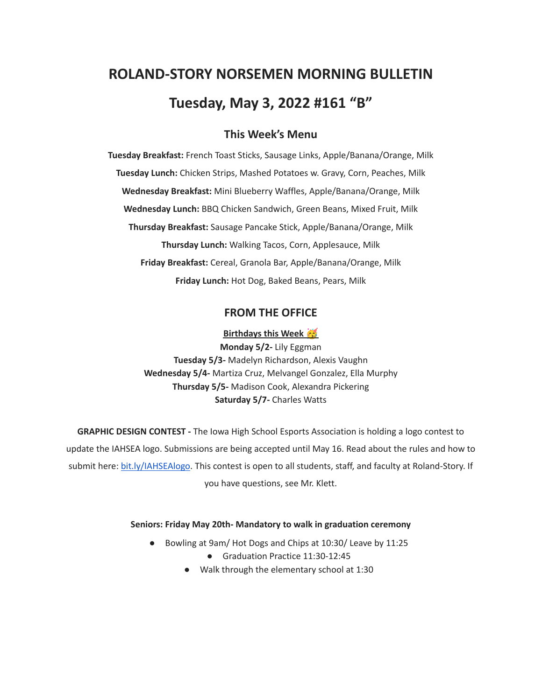# **ROLAND-STORY NORSEMEN MORNING BULLETIN Tuesday, May 3, 2022 #161 "B"**

# **This Week's Menu**

**Tuesday Breakfast:** French Toast Sticks, Sausage Links, Apple/Banana/Orange, Milk **Tuesday Lunch:** Chicken Strips, Mashed Potatoes w. Gravy, Corn, Peaches, Milk **Wednesday Breakfast:** Mini Blueberry Waffles, Apple/Banana/Orange, Milk **Wednesday Lunch:** BBQ Chicken Sandwich, Green Beans, Mixed Fruit, Milk **Thursday Breakfast:** Sausage Pancake Stick, Apple/Banana/Orange, Milk **Thursday Lunch:** Walking Tacos, Corn, Applesauce, Milk **Friday Breakfast:** Cereal, Granola Bar, Apple/Banana/Orange, Milk **Friday Lunch:** Hot Dog, Baked Beans, Pears, Milk

## **FROM THE OFFICE**

**Birthdays this Week**

**Monday 5/2-** Lily Eggman **Tuesday 5/3-** Madelyn Richardson, Alexis Vaughn **Wednesday 5/4-** Martiza Cruz, Melvangel Gonzalez, Ella Murphy **Thursday 5/5-** Madison Cook, Alexandra Pickering **Saturday 5/7-** Charles Watts

**GRAPHIC DESIGN CONTEST -** The Iowa High School Esports Association is holding a logo contest to update the IAHSEA logo. Submissions are being accepted until May 16. Read about the rules and how to submit here: [bit.ly/IAHSEAlogo.](http://bit.ly/IAHSEAlogo) This contest is open to all students, staff, and faculty at Roland-Story. If you have questions, see Mr. Klett.

#### **Seniors: Friday May 20th- Mandatory to walk in graduation ceremony**

- Bowling at 9am/ Hot Dogs and Chips at 10:30/ Leave by 11:25
	- Graduation Practice 11:30-12:45
	- Walk through the elementary school at 1:30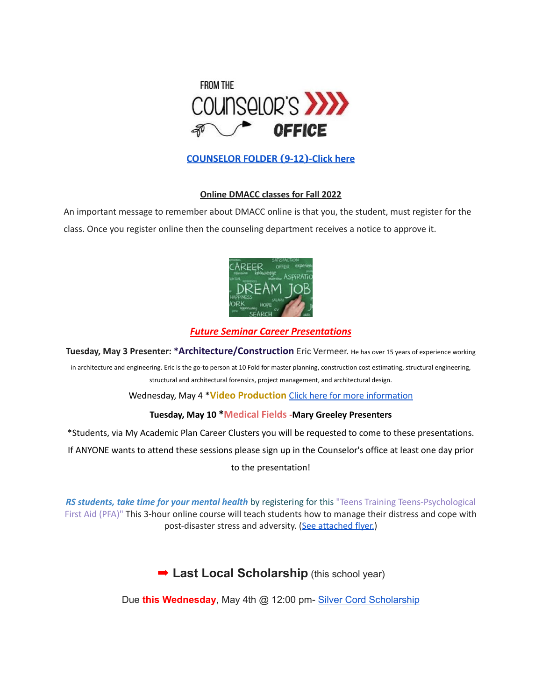

# **[COUNSELOR FOLDER](https://docs.google.com/document/d/1vmwczNPbDzXe9vFaG5LJMQ7NYDv-i4oQJHybqA65TUc/edit?usp=sharing) (9-12)-Click here**

## **Online DMACC classes for Fall 2022**

An important message to remember about DMACC online is that you, the student, must register for the class. Once you register online then the counseling department receives a notice to approve it.



## *Future Seminar Career Presentations*

**Tuesday, May 3 Presenter: \*Architecture/Construction** Eric Vermeer. He has over <sup>15</sup> years of experience working

in architecture and engineering. Eric is the go-to person at 10 Fold for master planning, construction cost estimating, structural engineering, structural and architectural forensics, project management, and architectural design.

Wednesday, May 4 \***Video Production** Click here for more [information](https://www.dmacc.edu/programs/video/Pages/welcome.aspx)

## **Tuesday, May 10 \*Medical Fields -Mary Greeley Presenters**

\*Students, via My Academic Plan Career Clusters you will be requested to come to these presentations.

If ANYONE wants to attend these sessions please sign up in the Counselor's office at least one day prior

to the presentation!

*RS students, take time for your mental health* by registering for this "Teens Training Teens-Psychological First Aid (PFA)" This 3-hour online course will teach students how to manage their distress and cope with post-disaster stress and adversity. (See [attached](https://drive.google.com/file/d/18ZxsDgb9mTVccDP5AD1ejwqoEi1MNUwE/view?usp=sharing) flyer.)

➡︎ **Last Local Scholarship** (this school year)

Due **this Wednesday**, May 4th @ 12:00 pm- Silver Cord [Scholarship](https://docs.google.com/document/d/12og0k5MTIc1OeFEzEig2sJZbI5ykSKtMlEJRu1iKhdA/edit?usp=sharing)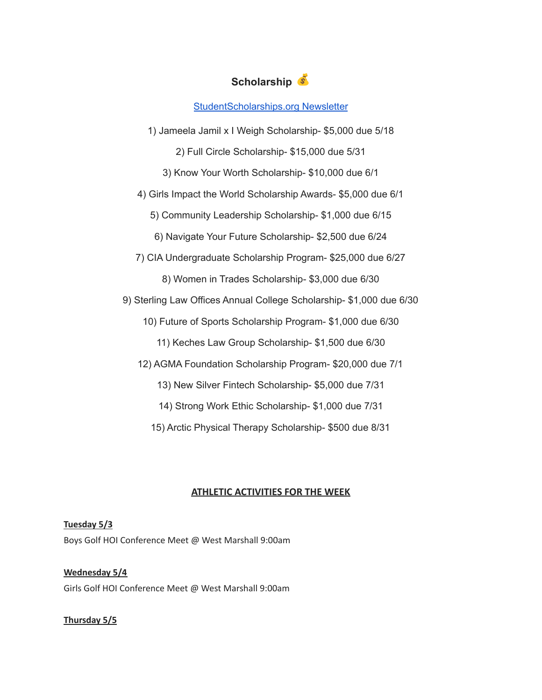# **Scholarship**

## [StudentScholarships.org](https://drive.google.com/file/d/1qEKcx3GVK6vi8DB_QD_Px65Do1Dedcz6/view?usp=sharing) Newsletter

1) Jameela Jamil x I Weigh Scholarship- \$5,000 due 5/18 2) Full Circle Scholarship- \$15,000 due 5/31

3) Know Your Worth Scholarship- \$10,000 due 6/1

4) Girls Impact the World Scholarship Awards- \$5,000 due 6/1

5) Community Leadership Scholarship- \$1,000 due 6/15

6) Navigate Your Future Scholarship- \$2,500 due 6/24

7) CIA Undergraduate Scholarship Program- \$25,000 due 6/27

8) Women in Trades Scholarship- \$3,000 due 6/30

9) Sterling Law Offices Annual College Scholarship- \$1,000 due 6/30

10) Future of Sports Scholarship Program- \$1,000 due 6/30

11) Keches Law Group Scholarship- \$1,500 due 6/30

12) AGMA Foundation Scholarship Program- \$20,000 due 7/1

13) New Silver Fintech Scholarship- \$5,000 due 7/31

14) Strong Work Ethic Scholarship- \$1,000 due 7/31

15) Arctic Physical Therapy Scholarship- \$500 due 8/31

## **ATHLETIC ACTIVITIES FOR THE WEEK**

# **Tuesday 5/3** Boys Golf HOI Conference Meet @ West Marshall 9:00am

# **Wednesday 5/4** Girls Golf HOI Conference Meet @ West Marshall 9:00am

## **Thursday 5/5**